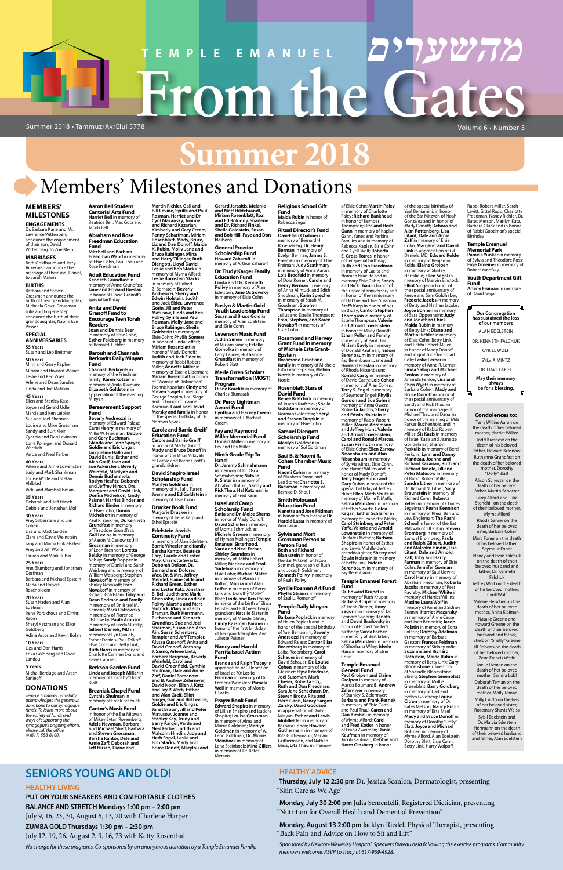# **Summer 2018**

# **From the Gates TEMPLE EMANUEL מהשערים**

# Members' Milestones and Donations

**מהשערים**

#### **MEMBERS' MILESTONES**

**ENGAGEMENTS** Dr. Barbara Kane and Mr. Lawrence Wittenberg announce the engagement of their son, David Wittenberg, to Zoe Klein

#### **MARRIAGES**

Miriam and Howard Weiner Leslie and Ken Zises Arlene and Dean Bandes Linda and Joe Matzkin **45 Years** Ellen and Stanley Kass

Beth Goldbaum and Jerry Ackerman announce the marriage of their son, Daniel, to Sarah Malvin

#### **BIRTHS**

Barbara and Steven Grossman announce the birth of their granddaughter, Michaela Grace Grossman Julia and Eugene Step announce the birth of their granddaughter, Naomi Eve Passer

#### **SPECIAL ANNIVERSARIES**

**55 Years** Susan and Leo Breitman **50 Years** Mimi and Gerry Raphel

Joyce and Gerald Udler Marcia and Ken Leibler Sue and Joel Sherman Louise and Mike Grossman Sandy and Burt Klein Cynthia and Dan Levinson Lorre Polinger and Donald Wertlieb Varda and Neal Farber **40 Years** Valerie and Arnie Lowenstein Judy and Mark Shankman Louise Wolfe and Stefan Ahlblad Vicki and Marshall Isman **35 Years** Deborah and Jeff Hirsch Debbie and Jonathan Moll **30 Years** Amy Silberstein and Jim Cohen

Lisa and Matt Golden Clare and David Weinstein Jany and Marco Finkielsztein Amy and Jeff Wolfe Lauren and Mark Rubin **25 Years** Ann Blumberg and Jonathan Dorfman

Barbara and Michael Epstein Marla and Robert Rosenbloom **20 Years**

Susan Haden and Alan Edelman Irene Porokhova and Dmitri Rabin Sheryl Katzman and Elliot Goldberg

Adina Astor and Kevin Bolan

**10 Years** Liza and Dan Harris Erika Goldberg and David Landau

#### **5 Years**

Michal Berdugo and Arash Sanieoff

#### **DONATIONS**

*Temple Emanuel gratefully acknowledges the generous donations to our synagogue funds. To learn more about the variety of funds and ways of supporting the synagogue's ongoing efforts, please call the office @ (617) 558-8100.*

#### **Abraham and Rose Freedman Education Fund**

**Kenneth Grundfast** in memory of Anne Grundfast; **Jane and Howard Breslau** in honor of David Granoff's special birthday

**Anita and David Granoff Fund to Encourage Teen Torah Readers Joan and Dennis Beer**

#### in memory of Elsie Cohn; **Esther Feldberg** in memory of Bernard Lichter **Barouh and Channah**

**Berkovits Daily Minyan Fund Channah Berkovits** in memory of the Friedman family; **Karen Kotzen** in memory of Anita Klaiman; **Elizabeth Goldstein** in appreciation of the evening

#### Minyan **Bereavement Support**

memory of H. Sally Turret: **Joanne and Ed Goldstein** in memory of Elsie Cohn

**Aaron Bell Student Cantorial Arts Fund Harriet Bell** in memory of Beatrice Bell, Max Gotz and Jacob Bell **Martin Richler, Gail and Bill Levine, Syrille and Paul Rosman, Harriet and Dr. Cyril Mazansky, Joanne and Richard Kazarian, Kimberly and Gary Creem, Penny Scharfman, Miriam** 

**Fund Beverly Andreozzi** in memory of Edward Palasz; **Carol Henry** in memory of Millie W. Friedman; **Debbie**  and Gary Buchman,<br>Glenda and John Speyer,<br>Goldie and Eric Ungar,<br>Jacqueline Hallo and **David Bunis, Esther and Alan Greif, Joan and Joe Ackerstein, Beverly Weinfeld, Marilynn and Dennis Buchenholz, Roslyn Heafitz, Deborah and Jeffrey Hirsch, Drs. Margaret and David Link, Donna Michelson, Cindy Paisner, Harriet Binder and Richard Binder** in memory of Elsie Cohn; **Donna Michelson** in memory of Paul R. Yankner; **Dr. Kenneth Grundfast** in memory of Theodore Grundfast; **Gail Levine** in memory of Aaron N. Caslowitz; **Jill Grossman** in memory of Leon Brenner; **Loretta Belsky** in memory of George Belsky; **Sandy Ropper** in memory of Daniel and Sarah Weisberg and in memory of William Weisberg; **Stephen Novakoff** in memory of Shirley Novakoff; **Fran Novakoff** in memory of Richard Goldstein; **Toby and Dean Rodman and Family** in memory of Dr. Israel M. Kamens; **Mark Ostrowsky** in memory of Florence Ostrowsky; **Paula Aronson** in memory of Freda Slutsky;

**Mitchell and Barbara Freedman Wand** in memory of Elsie Cohn, Paul Thau and Rose Freedman **Adult Education Fund Rosenblatt, Mady, Bruce, Liz and Dan Donoff, Maida K. Rubin, Molly-Jane and Bruce Rubinger, Mina and Harry Tillinger, Ruth Diengott, Lloyd David**; **Leslie and Bob Stacks** in memory of Myrna Alford; **Leslie Bornstein Stacks**

**Gilbert Daniels, MD** in

memory of Lyn Daniels, Esther Daniels, Paul Tolkoff, Elsie Cohn and Betty Link; **Ruth Harris** in memory of Charlotte Carmen Evans and Kevie Carmen

# **Berkson Garden Fund**

**Linda and Joseph Miller** in memory of Dorothy "Dolly" Blatt

#### **Brezniak Chapel Fund Cynthia Shulman** in

memory of Frank Brezniak

#### **Cantor's Music Fund**

in memory of Robert Z. Bornstein; **Beverly Andreozzi, Sherry and Edwin Holstein, Judith and Jack Elder, Lawrence Gorin, Jill and Peter Matusow, Linda and Ken Polivy, Syrille and Paul Rosman, Molly-Jane and** 

> **Norris** in memory of Gail Norris **Rosenblatt Stars of David Fund Renee Krafchick** in memory of Joseph Krafchick; **Sheila Goldstein** in memory of Norman Goldstein; **Sheryl and Steven Dropkin** in memory of Elsie Cohn **Samuel Diengott Scholarship Fund Marilyn Goldman** in memory of Sol Goldman

**Bruce Rubinger, Sheila Goldstein** in memory of Elsie Cohn; **Phyllis Somers** in honor of Linda Leffert; **Miriam Rosenblatt** in honor of Mady Donoff; **Judith and Jack Elder** in memory of Rabbi Robert Miller; **Annette Miller** in

of "Woman of Distinction"

and in honor of Joanne Kazarian; **Carol and David** 

Norman Spack

In honor of the Bar Mitzvah of Mikey Eytan Rosemberg:<br>Adele Newman, Barbara **Adele Newman, Barbara and Michael Sheff, Barbara and Steven Grossman, Barsha Kantor, Dale and Arnie Zaff, Deborah and Jeff Hirsch, Diane and Janet Brown, Jill and Peter Matusow, Joanne and Stanley Kay, Trudy and Barry Karger, Varda and Neal Farber, Judith and Malcolm Hindin, Judy and Herb Fogel, Leslie and Bob Stacks, Mady and Bruce Donoff, Marylou and** 

**Education Fund Carole and Barrie Greiff** in honor of Mady Donoff; **Mady and Bruce Donoff** in honor of the B'nai Mitzvah of Carole and Barrie Greiff's

grandchildren **David Shapiro Israel Scholarship Fund Marilyn Goldman** in

of Elsie Cohn; **Martin Paley** in memory of Charlotte Paley; **Richard Bankhead** in honor of Kemper Thompson; **Rita and Herb Gann** in memory of Kaplan,<br>Gann, Yanes and Perkins<br>Families and in memory of Rebecca Kaplan, Elsie Cohn and Cyrill Wolf; **Roberta E. Gross-Torres** in honor of her special birthday;<br>**Ruth and Don Freedman**<br>in memory of Laeita and Norman Israelite and in memory Elsie Cohn; **Sandy and Rick Thau** in honor of their special anniversary and in honor of the anniversary of Debbie and Joel Sussman; **Steffi Karp** in honor of her birthday; **Cantor Stephen Thompson** in memory of Estelle Thompson; **Valerie and Arnold Lowenstein** in honor of Mady Donoff; **Ethan Peller and Family** in memory of Paul Thau; **Miriam Bavly** in memory of Donald Kaufman; **Isidore Berenbaum** in memory of Fay Berenbaum; **Jane and Howard Breslau** in memory of Rhoda Nissenbaum; **Ronald Casty** in memory of David Casty; **Lois Cohen** in memory of Alan Cohen; **Terry S. Engel** in memory of Seymour Engel; **Phyllis Gordon and Sue Sohn** in memory of Anna Owen; **Roberta Jacobs, Sherry and Edwin Holstein** in memory of Rabbi Robert Miller; **Marcie Abramson and Jeffrey Hunt, Valerie and Arnold Lowenstein, Carol and Ronald Marcus, Susan Permut** in memory of Elsie Cohn; **Ellen Zarrow-Nissenbaum and Alan Nissenbaum** in memory of Sylvia Mintz, Elsie Cohn, and Harriet Willins and in honor of Mady Donoff; **Terry Engel Rubin and Gary Rubin** in honor of the special birthday of Jeffrey Hunt; **Ellen-Math Shute** in memory of Mollie T. Math; **Selma Waldstein** in memory of Esther Swartz; **Golda Kagan, Esther Schleifer** in memory of Jeannette Marks; **Carol Steinberg and Peter Yaffe, Valerie and Arnold Lowenstein** in memory of Dr. Bates Metson; **Barbara Shapiro** in honor of Esther and Lewis Muhlfelder's granddaughter; **Sherry and Edwin Holstein** in memory of Betty Link; **Isidore Berenbaum** in memory of Fay Berenbaum of the special birthday of Yael Beniamini, in honor of the Bar Mitzvah of Noah Gonzalez and in honor of Mady Donoff; **Debora and Alan Rottenberg, Lisa Litant, Dale and Arnie Zaff** in memory of Elsie Cohn; **Margaret and David Link** in appreciation of Gil Daniels, MD; **Edward Rolde** in memory of Benjamin Rolde; **Elaine Groipen** in memory of Shirley<br>Hartsfield; **Ellen Segal** in<br>memory of Mervin Binstock; **Elliot Singer** in honor of the special anniversary of Reeve and Sam Goldhaber; **Frederic Jacobs** in memory of Betty and Nathan Jacobs; **Joyce Bohnen** in memory of Sara Oppenheim; **Judy and Jonathan Chiel, Maida Rubin** in memory of Betty Link; **Diane and Martin Richler** in memory of Elsie Cohn, Betty Link, and Rabbi Robert Miller, in honor of Mady Donoff and in gratitude for Stuart Cole; **Leslie Lerner** in memory of Anne R. Lerner; **Linda Sallop and Michael Fenlon** in memory of Amanda Fenlon; **Lisa and Chris Wyett** in memory of Barbara Cohen; **Mady and Bruce Donoff** in honor of the special anniversary of Sandy and Rick Thau, in honor of the marriage of Michael Thau and Dana, in honor of the naming of Mila Parker Buchenholz, and in memory of Rabbi Robert Miller; **Sis Kazis** in memory of Israel Kazis and Jeanette Gondelman; **Sharon Perkulis** in memory of Berel Perkulis; **Lynn and Danny Mandeau, Joanne and Richard Kazarian, Ruth and Richard Arnold, Jill and Peter Matusow** in memory of Rabbi Robert Miller; **Sandra Litner** in memory of Dr. Richard N. Litner; **Sally Braunstein** in memory of Richard Cohn; **Roberta Yellen** in memory of Charles Segelman; **Resha Kennison** in memory of Rhea, Ben and Lew Engleman; **The Rashi School** in honor of the Bat Mitzvah of Jill Rubin; **Steven Bromberg** in memory of Samuel Bromberg; **Paula and Ralph Gilbert, Judith and Malcolm Hindin, Lisa Litant, Dale and Arnold Zaff, Toby and Barry Farman** in memory of Elsie Cohn; **Jennifer Gorman** in memory of Saul Udwin;<br>**Carol Henry** in memory of<br>Abraham Friedman; **Roberta** 

**Drucker Book Fund Marjorie Drucker** in memory of Irene Karp and Ethel Epstein

#### **Edelstein Jewish**

**Continuity Fund** In memory of Alan Edelstein: **Barrie Wheeler and family, Barsha Kantor, Beatrice Carp, Carole and Lester May, Charlotte Swartz, Deborah Doktor, Dr. Bernard and Dolores Wax, Dr. & Mrs. Jeffrey Mendel, Elaine Gilde and Richard Green, Esther and Lester Katz, Jonathan B. Bell, Judith and Mark Abensohn, Linda and Ken Polivy, Marsha and Marc Slotnick, Mary and Bob Braman, Ruth Herrmann, Ruthanne and Kenneth Grundfast, Sue and Joel Sherman, Susan and Aron Ain, Susan Schenberg Templer and Jeff Templer, Alyssa Gusenoff, Anita and** 

**David Granoff, Anthony** 

memory of Estelle Liberman; **Miriam Rosenblatt** in honor Joanne Kazarian; **Cindy and Steven Siagel** in memory of George Shapiro, Lou Siagel **Mersky and family** in honor of the special birthday of Dr. **Carole and Barrie Greiff Diane Korelitz** in memory of Charles Blumsack **Dr. Percy Lightman**  Creem

**David Greenfield, Cynthia Shulman, Dale and Arnie Zaff, Daniel Romanow and B. Andrew Zelermyer, David Noon, Ellen J. Katz and Jay P. Werb, Esther and Alan Greif, Elliot Singer, Gail and Bill Levine, Goldie and Eric Ungar,** 

**Kaufman** in memory of Jacob Kaufman; **Debbie and**  Garston; **Frances Feldman** in memory of Sidney Yoffe; **Suzanne and Richard Rothstein, Maida Rubin** in memory of Betty Link; **Gary Bloomstone** in memory of Shaindle Bloomstone Elberg; **Stephen Greenblatt** in memory of Mollie Greenblatt; **Barry Goldberg** in memory of Carl and Evelyn Goldberg; **Louise Citron** in memory of Dr. Bates Metson; **Nancy Rubin** in memory of  $F$ sta Ma **Mady and Bruce Donoff** in memory of Dorothy "Dolly" Blatt; **Joyce and Michael Bohnen** in memory of Myrna Alford, Alan Edelstein, Dorothy Blatt, Elsie Cohn,<br>Betty Link, Harry Wolpoff,

**Gerard Jarasitis, Melanie and Matt Hildebrandt, Miriam Rosenblatt, Roz and Ed Kolodny, Sharlene and Dr. Richard Finkel, Sheila Goldstein, Susan and Bob Hill, Faye and Don** 

**Neiberg**

**General Prozdor Scholarship Fund Howard Zaharoff** in memory of Arthur Zaharoff

**Dr. Trudy Karger Family Education Fund Linda and Dr. Kenneth Polivy** in memory of Alan Edelstein; **Jane Ostrowsky** in memory of Elsie Cohn

**Roslyn & Martin Gold Youth Leadership Fund Susan and Bruce Gold** in memory of Alan Edelstein and Elsie Cohn

**Levenson Music Fund Judith Simen** in memory of Miriam Simen; **Estelle Gomolka** in memory of Larry Lajmer; **Ruthanne Grundfast** in memory of Robert Blatt

#### **J. Sarno, Arlene Lintz, Barbara Bergman, Beverly Weinfeld, Carol and Nancy and Harold Parritz Israel Action Fund**

**Merle Orren Scholars Transformation (MOST) Program**

**Award Fund Cynthia and Harvey Creem** in memory of J. Michael

**Fay and Raymond Miller Memorial Fund Donald Miller** in memory of Fay and Ray Miller

**Ninth Grade Trip To Israel**

**Dr. Jeremy Schmahmann** in memory of Dr. Oscar Schmahmann; **Natalie K. Slater** in memory of Abraham Kolbin; **Sandy and Rick Thau, Hal Katzman** in memory of Fred Kann **Israel and Camp Scholarsip Fund Batia and Dr. Moise Shems** in honor of Mady Donoff;<br>**David Schuller** in memory<br>of Morris Schmuckler; **Michele Greene** in memory of Hyman Mallinger; **Temple Emanuel Sisterhood, Varda and Neal Farber, Shirley Saunders** in memory of Rabbi Robert Miller; **Marlene and Errol Yudelman** in memory of Elsie Cohn; **Michael Slater** in memory of Abraham Kolbin; **Marcia and Alan Leifer** in memory of Betty Link and Dorothy "Dolly" Blatt; **Linda and Ken Polivy** in honor of the birth of Elissa Fenster and Bill Greenberg's grandson; **Natalie Slater** in

**Our Congregation has sustained the loss of our members** ALAN EDELSTEIN DR. KENNETH FALCHUK CYRILL WOLF SYLVIA MINTZ DR. DAVID ARIEL **May their memory always be for a blessing.** of David Segal

memory of Mandel Slater; **Cindy Kassman Paisner** in honor of the first birthday of her granddaughter, Ava

#### Juliette Paisner

**Brenda and Ralph Tracey** in appreciation of Celebration of Israel at 70; **Leslie Fishman** in memory of Dr. Frederic Weinsten; **Pamela Weil** in memory of Morris I. Sacks

#### **Prayer Book Fund Edward Shapiro** in memory of Lillian Shapiro and Isadore

Shapiro; **Louise Grossman** in memory of Alma and Morris Goldman; **Marilyn Goldman** in memory of A. Leon Goldman; **Dr. Morris Steinbock** in memory of Lena Steinbock; **Mina Gillers** in memory of Dr. Bates Metson

**Religious School Gift Fund Maida Rubin** in honor of Rebecca Segal

> Joelle Lieman on the death of her beloved mother, Sandra Lobl

**Ritual Director's Fund Davi-Ellen Chabner** in memory of Bernard H. Rosenzweig; **Dr. Henry Berman** in memory of Evelyn Berman; **James S. Freiman** in memory of Ethel Freiman; **Judy Szathmary** in memory of Anna Aaron; **Lola Brodfeld** in memory of Dora Korner; **Carole and Henry Berman** in memory of Anna Alintuck and Edith Shoolman; **Karin Sprecher** in memory of Sarah M. Goodman; **Stephen Thompson** in memory of

Julius and Estelle Thompson; **Fran, Stephen, and Karen Novakoff** in memory of Elsie Cohn **Rosamond and Harvey Grant Fund in memory** 

**of Michele Esta Grant-Epstein Rosamond Grant and family** in memory of Michele Esta Grant-Epstein; **Melvin** 

**Saul B. & Naomi R. Cohen Chamber Music Fund**

**Naomi Cohen** in memory of Elizabeth Stone and Leo Stone; **Charlotte S. Backman** in memory of Bernice D. Shoul

**Smith Holocaust Education Fund Nanette and Jose Fridman** in honor of Yom Hashoa; **Dr. Harold Lazar** in memory of Ann Lazar

**Sylvia and Mort Grossman Person to Person Fund Beth and Richard Blankstein** in honor of the Bar Mitzvah of Jacob Semmel, grandson of Ruth and Joseph Goldman;

**Kenneth Polivy** in memory

of Paula Polivy **Syrille Rosman Art Fund Phyllis Strauss** in memory of Saul L. Romanoff

**Temple Daily Minyan** 

**Fund Barbara Poplack** in memory of Helen Poplack and in<br>honor of the special birthday of Yael Beniamini; **Beverly Andreozzi** in memory of Edward Palasz; **Cantor Elias** 

**Rosemberg** in memory of Leiba Rosemberg; **Carol Schauer** in memory of David Schauer; **Dr. Louise Cohen** in memory of Ida Glassner; **Elyse Friedman, Joel Sussman, Mark Cheser, Roberta Fox, Ruth and Don Freedman, Sara Jane Schechner, Dr. Steven Brody, Rita and Herb Gann, Nancy Sargon Zarsky, David Goodson** in appreciation of Daily Minyan; **Esther and Lewis Muhlfelder** in memory of Barbara Cohen; **Howard Guthermann** in memory of Rita Guthermann, Marvin Guthermann, and Nathan Mass; **Lita Thau** in memory

**Temple Emanuel Forest Fund**

**Dr. Edward Krupat** in memory of Ruth Krupat; **Barbara Krupat** in memory of Jacob Riemer; **Jinny Sagorin** in memory of Dr. Leonard Sagorin; **Renata and David Brailovsky** in honor of Robert Sadler's birthday; **Varda Farber** in memory of Bert Erber; **Selma Waldstein** in memory of Shoshana Wiley; **Merle Hass** in memory of Elsie Cohn

#### **Temple Emanuel General Fund Paul Groipen and Elaine Groipen** in memory of Marcia Bouman; **B. Andrew Zelermyer** in memory of Stanley S. Zelermyer; **Barbara and Frank Resnek** in memory of Elsie Cohn and Paul Thau; **Caren and Dan Kimball** in memory of Myrna Alford; **Carol and Fred Kotler** in honor

of Frank Zweiman; **Daniel** 

**Norm Ginsberg** in honor

**Jacobs** in memory of Pearl Ravreby; **Michael White** in memory of Harriet Willins; **Maxine Laura Wolf** in

in memory of Anne Cassel and Joan Benedick; **Jacob Polatin** in memory of Edna Polatin; **Dorothy Adelman**

in memory of Barbara

Rabbi Robert Miller, Sarah Levitt, Gittel Rapp, Charlotte Freedman, Nancy Richler, Dr. Bates Metson, Marilyn Katz, Barbara Gluck and in honor of Rabbi Goodman's special Birthday

#### **Temple Emanuel Memorial Park**

**Pamela Yunker** in memory of Sylvia and Theodore Ross; **Faye Gmeiner** in memory of Robert Yanofsky

**Youth Department Gift Fund Arlene Fruman** in memory

# **SENIORS YOUNG AND OLD!**

#### **HEALTHY LIVING**

#### **PUT ON YOUR SNEAKERS AND COMFORTABLE CLOTHES**

#### **BALANCE AND STRETCH Mondays 1:00 pm – 2:00 pm**

July 9, 16, 23, 30, August 6, 13, 20 with Charlene Harper

#### **ZUMBA GOLD Thursdays 1:30 pm – 2:30 pm**

July 12, 19, 26, August 2, 9, 16, 23 with Ketty Rosenthal

memory of Anne and Sidney Bunnin; **Harriet Mazansky** Terry Willins Aaron on the death of her beloved mother, Harriet Willins Todd Krasnow on the death of his beloved father, Howard Krasnow Ruthanne Grundfast on the death of her beloved mother, Dorothy "Dolly" Blatt Alison Schecter on the death of her beloved father, Martin Schecter Larry Alford and Julie Stonehill on the death of their beloved mother, Myrna Alford Rhoda Sarver on the death of her beloved sister, Barbara Cohen Marc Foner on the death of his beloved father, Seymour Foner Nancy and Evan Falchuk on the death of their beloved husband and father, Dr. Kenneth Falchuk Jeffrey Wolf on the death of his beloved mother, Cyrill Wolf Valerie Fleischer on the death of her beloved mother, Anita Klaiman

*No charge for these programs. Co-sponsored by an anonymous donation by a Temple Emanuel Family.*

#### **HEALTHY ADVICE**

**Thursday, July 12 2:30 pm** Dr. Jessica Scanlon, Dermatologist, presenting "Skin Care as We Age"

**Monday, July 30 2:00 pm** Julia Sementelli, Registered Dietician, presenting "Nutrition for Overall Health and Demential Prevention"

**Monday, August 13 2:00 pm** Jacklyn Riedel, Physical Therapist, presenting "Back Pain and Advice on How to Sit and Lift"

*Sponsored by Newton-Wellesley Hospital. Speakers Bureau held following the exercise programs. Community members welcome. RSVP to Tracy at 617-959-4928.*

#### **Condolences to:**

Natalie Greene and Howard Greene on the death of their beloved husband and father,

Sheldon "Shelly" Greene Jill Roberts on the death of her beloved mother, Zena Francis Wolfe

Deborah Teman on the death of her beloved mother, Molly Teman

Milly Cuiffo on the loss of her beloved sister, Rosemary Shavit-Weiss

Sybil Edelstein and Dr. Marcia Edelstein Herrmann on the death of their beloved husband and father, Alan Edelstein